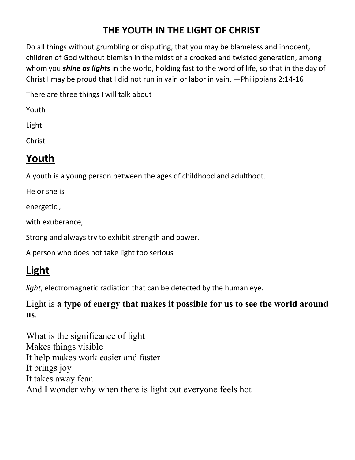### **THE YOUTH IN THE LIGHT OF CHRIST**

Do all things without grumbling or disputing, that you may be blameless and innocent, children of God without blemish in the midst of a crooked and twisted generation, among whom you *shine as lights* in the world, holding fast to the word of life, so that in the day of Christ I may be proud that I did not run in vain or labor in vain. —Philippians 2:14-16

There are three things I will talk about

Youth

Light

Christ

## **Youth**

A youth is a young person between the ages of childhood and adulthoot.

He or she is

energetic ,

with exuberance,

Strong and always try to exhibit strength and power.

A person who does not take light too serious

# **Light**

*light*, electromagnetic radiation that can be detected by the human eye.

Light is **a type of energy that makes it possible for us to see the world around us**.

What is the significance of light Makes things visible It help makes work easier and faster It brings joy It takes away fear. And I wonder why when there is light out everyone feels hot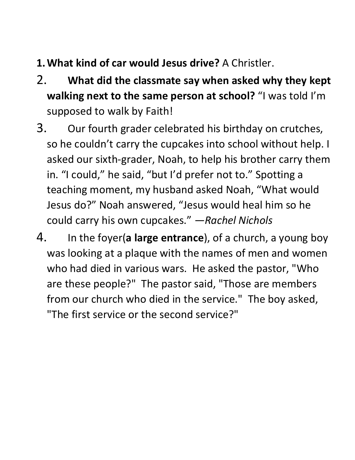- **1.What kind of car would Jesus drive?** A Christler.
- 2. **What did the classmate say when asked why they kept walking next to the same person at school?** "I was told I'm supposed to walk by Faith!
- 3. Our fourth grader celebrated his birthday on crutches, so he couldn't carry the cupcakes into school without help. I asked our sixth-grader, Noah, to help his brother carry them in. "I could," he said, "but I'd prefer not to." Spotting a teaching moment, my husband asked Noah, "What would Jesus do?" Noah answered, "Jesus would heal him so he could carry his own cupcakes." *—Rachel Nichols*
- 4. In the foyer(**a large entrance**), of a church, a young boy was looking at a plaque with the names of men and women who had died in various wars. He asked the pastor, "Who are these people?" The pastor said, "Those are members from our church who died in the service." The boy asked, "The first service or the second service?"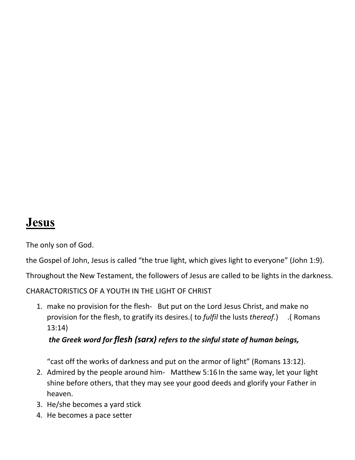### **Jesus**

The only son of God.

the Gospel of John, Jesus is called "the true light, which gives light to everyone" (John 1:9).

Throughout the New Testament, the followers of Jesus are called to be lights in the darkness.

CHARACTORISTICS OF A YOUTH IN THE LIGHT OF CHRIST

1. make no provision for the flesh- But put on the Lord Jesus Christ, and make no provision for the flesh, to gratify its desires.( to *fulfil* the lusts *thereof*.) .( Romans 13:14)

#### *the Greek word for flesh (sarx) refers to the sinful state of human beings,*

"cast off the works of darkness and put on the armor of light" (Romans 13:12).

- 2. Admired by the people around him- Matthew 5:16 In the same way, let your light shine before others, that they may see your good deeds and glorify your Father in heaven.
- 3. He/she becomes a yard stick
- 4. He becomes a pace setter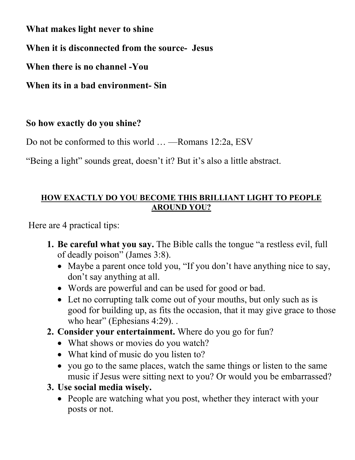**What makes light never to shine**

**When it is disconnected from the source- Jesus**

**When there is no channel -You**

**When its in a bad environment- Sin**

### **So how exactly do you shine?**

Do not be conformed to this world … —Romans 12:2a, ESV

"Being a light" sounds great, doesn't it? But it's also a little abstract.

#### **HOW EXACTLY DO YOU BECOME THIS BRILLIANT LIGHT TO PEOPLE AROUND YOU?**

Here are 4 practical tips:

- **1. Be careful what you say.** The Bible calls the tongue "a restless evil, full of deadly poison" (James 3:8).
	- Maybe a parent once told you, "If you don't have anything nice to say, don't say anything at all.
	- Words are powerful and can be used for good or bad.
	- Let no corrupting talk come out of your mouths, but only such as is good for building up, as fits the occasion, that it may give grace to those who hear" (Ephesians 4:29)...
- **2. Consider your entertainment.** Where do you go for fun?
	- What shows or movies do you watch?
	- What kind of music do you listen to?
	- you go to the same places, watch the same things or listen to the same music if Jesus were sitting next to you? Or would you be embarrassed?
- **3. Use social media wisely.**
	- People are watching what you post, whether they interact with your posts or not.